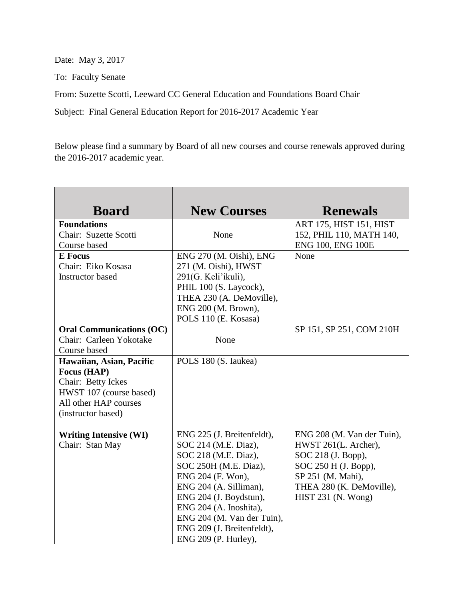Date: May 3, 2017

To: Faculty Senate

From: Suzette Scotti, Leeward CC General Education and Foundations Board Chair

Subject: Final General Education Report for 2016-2017 Academic Year

Below please find a summary by Board of all new courses and course renewals approved during the 2016-2017 academic year.

| <b>Board</b>                    | <b>New Courses</b>         | <b>Renewals</b>            |
|---------------------------------|----------------------------|----------------------------|
| <b>Foundations</b>              |                            | ART 175, HIST 151, HIST    |
| Chair: Suzette Scotti           | None                       | 152, PHIL 110, MATH 140,   |
| Course based                    |                            | ENG 100, ENG 100E          |
| <b>E</b> Focus                  | ENG 270 (M. Oishi), ENG    | None                       |
| Chair: Eiko Kosasa              | 271 (M. Oishi), HWST       |                            |
| <b>Instructor</b> based         | 291(G. Keli'ikuli),        |                            |
|                                 | PHIL 100 (S. Laycock),     |                            |
|                                 | THEA 230 (A. DeMoville),   |                            |
|                                 | ENG 200 (M. Brown),        |                            |
|                                 | POLS 110 (E. Kosasa)       |                            |
| <b>Oral Communications (OC)</b> |                            | SP 151, SP 251, COM 210H   |
| Chair: Carleen Yokotake         | None                       |                            |
| Course based                    |                            |                            |
| Hawaiian, Asian, Pacific        | POLS 180 (S. Iaukea)       |                            |
| Focus (HAP)                     |                            |                            |
| Chair: Betty Ickes              |                            |                            |
| HWST 107 (course based)         |                            |                            |
| All other HAP courses           |                            |                            |
| (instructor based)              |                            |                            |
|                                 |                            |                            |
| <b>Writing Intensive (WI)</b>   | ENG 225 (J. Breitenfeldt), | ENG 208 (M. Van der Tuin), |
| Chair: Stan May                 | SOC 214 (M.E. Diaz),       | HWST 261(L. Archer),       |
|                                 | SOC 218 (M.E. Diaz),       | SOC 218 (J. Bopp),         |
|                                 | SOC 250H (M.E. Diaz),      | SOC 250 H (J. Bopp),       |
|                                 | ENG 204 (F. Won),          | SP 251 (M. Mahi),          |
|                                 | ENG 204 (A. Silliman),     | THEA 280 (K. DeMoville),   |
|                                 | ENG 204 (J. Boydstun),     | HIST 231 (N. Wong)         |
|                                 | ENG 204 (A. Inoshita),     |                            |
|                                 | ENG 204 (M. Van der Tuin), |                            |
|                                 | ENG 209 (J. Breitenfeldt), |                            |
|                                 | ENG 209 (P. Hurley),       |                            |